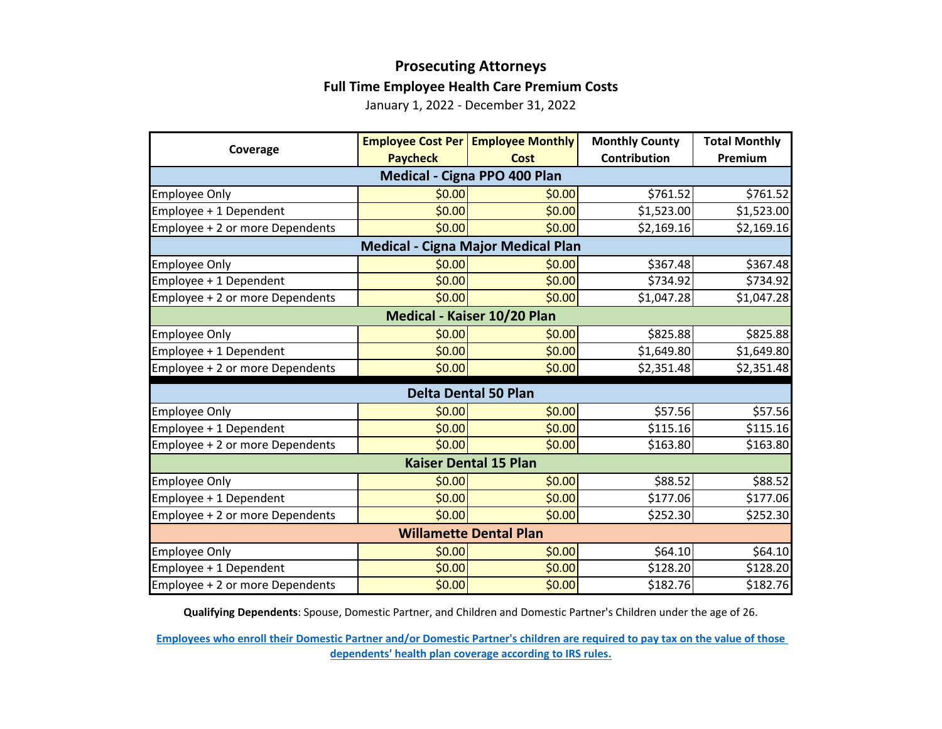## **Prosecuting Attorneys Full Time Employee Health Care Premium Costs**

January 1, 2022 - December 31, 2022

| Coverage                                  |                 | <b>Employee Cost Per   Employee Monthly</b> | <b>Monthly County</b> | <b>Total Monthly</b> |  |  |
|-------------------------------------------|-----------------|---------------------------------------------|-----------------------|----------------------|--|--|
|                                           | <b>Paycheck</b> | <b>Cost</b>                                 | <b>Contribution</b>   | Premium              |  |  |
| Medical - Cigna PPO 400 Plan              |                 |                                             |                       |                      |  |  |
| <b>Employee Only</b>                      | \$0.00          | \$0.00                                      | \$761.52              | \$761.52             |  |  |
| Employee + 1 Dependent                    | \$0.00          | \$0.00                                      | \$1,523.00            | \$1,523.00           |  |  |
| Employee + 2 or more Dependents           | \$0.00          | \$0.00                                      | \$2,169.16            | \$2,169.16           |  |  |
| <b>Medical - Cigna Major Medical Plan</b> |                 |                                             |                       |                      |  |  |
| <b>Employee Only</b>                      | \$0.00          | \$0.00                                      | \$367.48              | \$367.48             |  |  |
| Employee + 1 Dependent                    | \$0.00          | \$0.00                                      | \$734.92              | \$734.92             |  |  |
| Employee + 2 or more Dependents           | \$0.00          | \$0.00                                      | \$1,047.28            | \$1,047.28           |  |  |
| Medical - Kaiser 10/20 Plan               |                 |                                             |                       |                      |  |  |
| <b>Employee Only</b>                      | \$0.00          | \$0.00                                      | \$825.88              | \$825.88             |  |  |
| Employee + 1 Dependent                    | \$0.00          | \$0.00                                      | \$1,649.80            | \$1,649.80           |  |  |
| Employee + 2 or more Dependents           | \$0.00          | \$0.00                                      | \$2,351.48            | \$2,351.48           |  |  |
| <b>Delta Dental 50 Plan</b>               |                 |                                             |                       |                      |  |  |
| <b>Employee Only</b>                      | \$0.00          | \$0.00                                      | \$57.56               | \$57.56              |  |  |
| Employee + 1 Dependent                    | \$0.00          | \$0.00                                      | \$115.16              | \$115.16             |  |  |
| Employee + 2 or more Dependents           | \$0.00          | \$0.00                                      | \$163.80              | \$163.80             |  |  |
| <b>Kaiser Dental 15 Plan</b>              |                 |                                             |                       |                      |  |  |
| <b>Employee Only</b>                      | \$0.00          | \$0.00                                      | \$88.52               | \$88.52              |  |  |
| Employee + 1 Dependent                    | \$0.00          | \$0.00                                      | \$177.06              | \$177.06             |  |  |
| Employee + 2 or more Dependents           | \$0.00          | \$0.00                                      | \$252.30              | \$252.30             |  |  |
| <b>Willamette Dental Plan</b>             |                 |                                             |                       |                      |  |  |
| <b>Employee Only</b>                      | \$0.00          | \$0.00                                      | \$64.10               | \$64.10              |  |  |
| Employee + 1 Dependent                    | \$0.00          | \$0.00                                      | \$128.20              | \$128.20             |  |  |
| Employee + 2 or more Dependents           | \$0.00          | \$0.00                                      | \$182.76              | \$182.76             |  |  |

**Qualifying Dependents**: Spouse, Domestic Partner, and Children and Domestic Partner's Children under the age of 26.

**[Employees who enroll their Domestic Partner and/or Domestic Partner's children are](https://multco.us/benefits/non-irs-eligible-dependents-domestic-partners-and-their-children) required to pay tax on the value of those [dependents' health plan coverage according to IRS](https://multco.us/benefits/non-irs-eligible-dependents-domestic-partners-and-their-children) rules.**